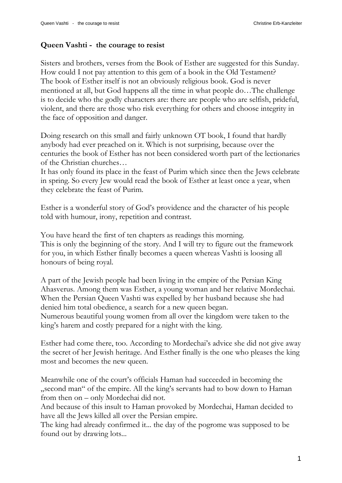## **Queen Vashti - the courage to resist**

Sisters and brothers, verses from the Book of Esther are suggested for this Sunday. How could I not pay attention to this gem of a book in the Old Testament? The book of Esther itself is not an obviously religious book. God is never mentioned at all, but God happens all the time in what people do…The challenge is to decide who the godly characters are: there are people who are selfish, prideful, violent, and there are those who risk everything for others and choose integrity in the face of opposition and danger.

Doing research on this small and fairly unknown OT book, I found that hardly anybody had ever preached on it. Which is not surprising, because over the centuries the book of Esther has not been considered worth part of the lectionaries of the Christian churches…

It has only found its place in the feast of Purim which since then the Jews celebrate in spring. So every Jew would read the book of Esther at least once a year, when they celebrate the feast of Purim.

Esther is a wonderful story of God's providence and the character of his people told with humour, irony, repetition and contrast.

You have heard the first of ten chapters as readings this morning. This is only the beginning of the story. And I will try to figure out the framework for you, in which Esther finally becomes a queen whereas Vashti is loosing all honours of being royal.

A part of the Jewish people had been living in the empire of the Persian King Ahasverus. Among them was Esther, a young woman and her relative Mordechai. When the Persian Queen Vashti was expelled by her husband because she had denied him total obedience, a search for a new queen began. Numerous beautiful young women from all over the kingdom were taken to the

king's harem and costly prepared for a night with the king.

Esther had come there, too. According to Mordechai's advice she did not give away the secret of her Jewish heritage. And Esther finally is the one who pleases the king most and becomes the new queen.

Meanwhile one of the court's officials Haman had succeeded in becoming the "second man" of the empire. All the king's servants had to bow down to Haman from then on – only Mordechai did not.

And because of this insult to Haman provoked by Mordechai, Haman decided to have all the Jews killed all over the Persian empire.

The king had already confirmed it... the day of the pogrome was supposed to be found out by drawing lots...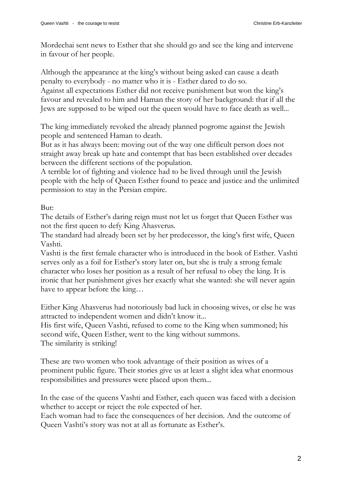Mordechai sent news to Esther that she should go and see the king and intervene in favour of her people.

Although the appearance at the king's without being asked can cause a death penalty to everybody - no matter who it is - Esther dared to do so. Against all expectations Esther did not receive punishment but won the king's favour and revealed to him and Haman the story of her background: that if all the Jews are supposed to be wiped out the queen would have to face death as well...

The king immediately revoked the already planned pogrome against the Jewish people and sentenced Haman to death.

But as it has always been: moving out of the way one difficult person does not straight away break up hate and contempt that has been established over decades between the different sections of the population.

A terrible lot of fighting and violence had to be lived through until the Jewish people with the help of Queen Esther found to peace and justice and the unlimited permission to stay in the Persian empire.

But:

The details of Esther's daring reign must not let us forget that Queen Esther was not the first queen to defy King Ahasverus.

The standard had already been set by her predecessor, the king's first wife, Queen Vashti.

Vashti is the first female character who is introduced in the book of Esther. Vashti serves only as a foil for Esther's story later on, but she is truly a strong female character who loses her position as a result of her refusal to obey the king. It is ironic that her punishment gives her exactly what she wanted: she will never again have to appear before the king...

Either King Ahasverus had notoriously bad luck in choosing wives, or else he was attracted to independent women and didn't know it...

His first wife, Queen Vashti, refused to come to the King when summoned; his second wife, Queen Esther, went to the king without summons. The similarity is striking!

These are two women who took advantage of their position as wives of a prominent public figure. Their stories give us at least a slight idea what enormous responsibilities and pressures were placed upon them...

In the case of the queens Vashti and Esther, each queen was faced with a decision whether to accept or reject the role expected of her.

Each woman had to face the consequences of her decision. And the outcome of Queen Vashti's story was not at all as fortunate as Esther's.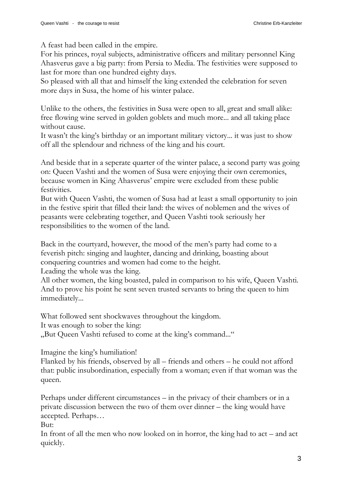A feast had been called in the empire.

For his princes, royal subjects, administrative officers and military personnel King Ahasverus gave a big party: from Persia to Media. The festivities were supposed to last for more than one hundred eighty days.

So pleased with all that and himself the king extended the celebration for seven more days in Susa, the home of his winter palace.

Unlike to the others, the festivities in Susa were open to all, great and small alike: free flowing wine served in golden goblets and much more... and all taking place without cause.

It wasn't the king's birthday or an important military victory... it was just to show off all the splendour and richness of the king and his court.

And beside that in a seperate quarter of the winter palace, a second party was going on: Queen Vashti and the women of Susa were enjoying their own ceremonies, because women in King Ahasverus' empire were excluded from these public festivities.

But with Queen Vashti, the women of Susa had at least a small opportunity to join in the festive spirit that filled their land: the wives of noblemen and the wives of peasants were celebrating together, and Queen Vashti took seriously her responsibilities to the women of the land.

Back in the courtyard, however, the mood of the men's party had come to a feverish pitch: singing and laughter, dancing and drinking, boasting about conquering countries and women had come to the height.

Leading the whole was the king.

All other women, the king boasted, paled in comparison to his wife, Queen Vashti. And to prove his point he sent seven trusted servants to bring the queen to him immediately...

What followed sent shockwaves throughout the kingdom.

It was enough to sober the king:

"But Queen Vashti refused to come at the king's command..."

Imagine the king's humiliation!

Flanked by his friends, observed by all – friends and others – he could not afford that: public insubordination, especially from a woman; even if that woman was the queen.

Perhaps under different circumstances – in the privacy of their chambers or in a private discussion between the two of them over dinner – the king would have accepted. Perhaps…

But:

In front of all the men who now looked on in horror, the king had to act – and act quickly.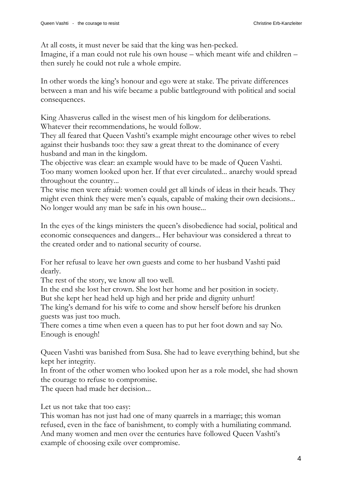At all costs, it must never be said that the king was hen-pecked.

Imagine, if a man could not rule his own house – which meant wife and children – then surely he could not rule a whole empire.

In other words the king's honour and ego were at stake. The private differences between a man and his wife became a public battleground with political and social consequences.

King Ahasverus called in the wisest men of his kingdom for deliberations. Whatever their recommendations, he would follow.

They all feared that Queen Vashti's example might encourage other wives to rebel against their husbands too: they saw a great threat to the dominance of every husband and man in the kingdom.

The objective was clear: an example would have to be made of Queen Vashti. Too many women looked upon her. If that ever circulated... anarchy would spread throughout the country...

The wise men were afraid: women could get all kinds of ideas in their heads. They might even think they were men's equals, capable of making their own decisions... No longer would any man be safe in his own house...

In the eyes of the kings ministers the queen's disobedience had social, political and economic consequences and dangers... Her behaviour was considered a threat to the created order and to national security of course.

For her refusal to leave her own guests and come to her husband Vashti paid dearly.

The rest of the story, we know all too well.

In the end she lost her crown. She lost her home and her position in society. But she kept her head held up high and her pride and dignity unhurt!

The king's demand for his wife to come and show herself before his drunken guests was just too much.

There comes a time when even a queen has to put her foot down and say No. Enough is enough!

Queen Vashti was banished from Susa. She had to leave everything behind, but she kept her integrity.

In front of the other women who looked upon her as a role model, she had shown the courage to refuse to compromise.

The queen had made her decision...

Let us not take that too easy:

This woman has not just had one of many quarrels in a marriage; this woman refused, even in the face of banishment, to comply with a humiliating command. And many women and men over the centuries have followed Queen Vashti's example of choosing exile over compromise.